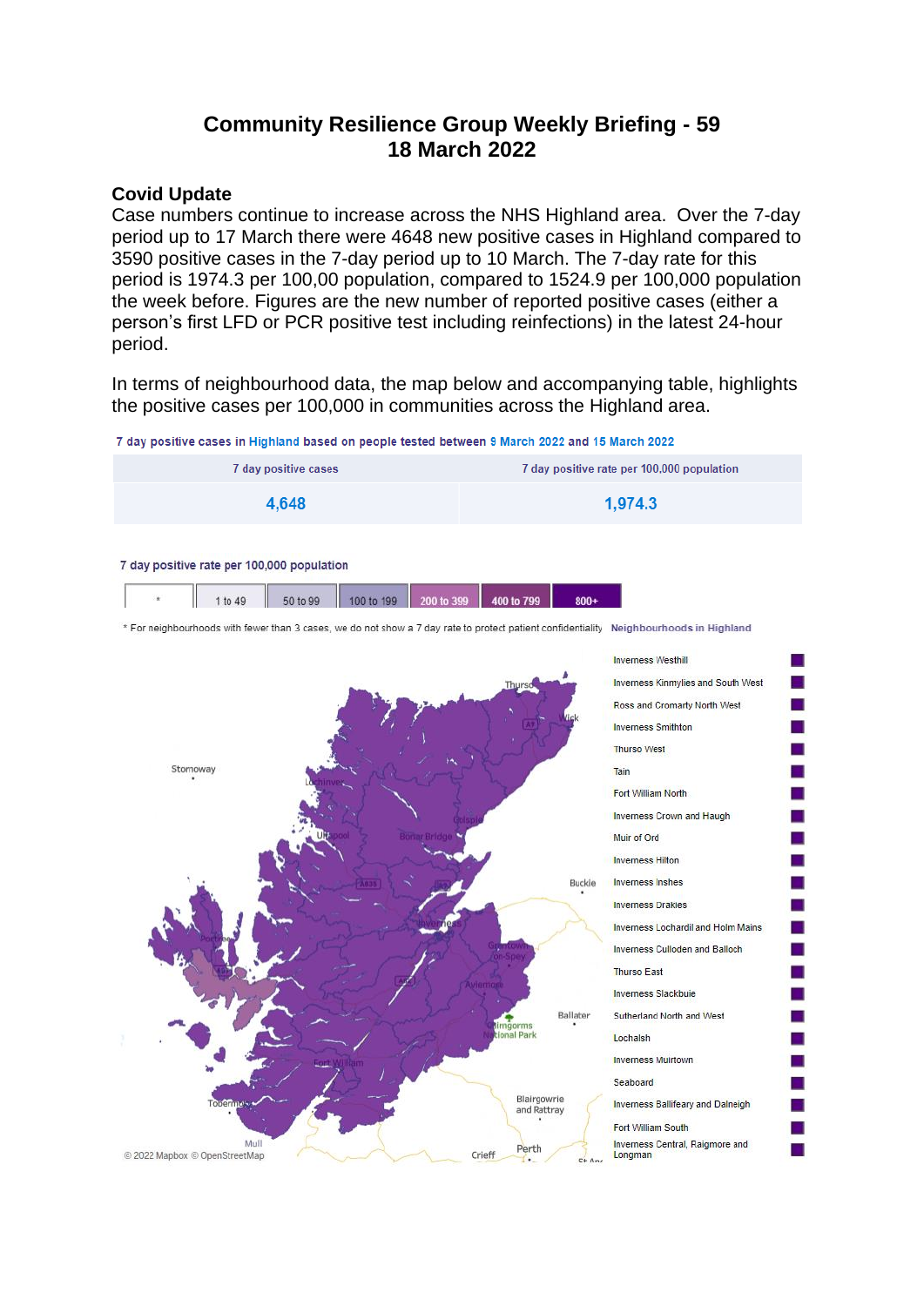# **Community Resilience Group Weekly Briefing - 59 18 March 2022**

#### **Covid Update**

Case numbers continue to increase across the NHS Highland area. Over the 7-day period up to 17 March there were 4648 new positive cases in Highland compared to 3590 positive cases in the 7-day period up to 10 March. The 7-day rate for this period is 1974.3 per 100,00 population, compared to 1524.9 per 100,000 population the week before. Figures are the new number of reported positive cases (either a person's first LFD or PCR positive test including reinfections) in the latest 24-hour period.

In terms of neighbourhood data, the map below and accompanying table, highlights the positive cases per 100,000 in communities across the Highland area.

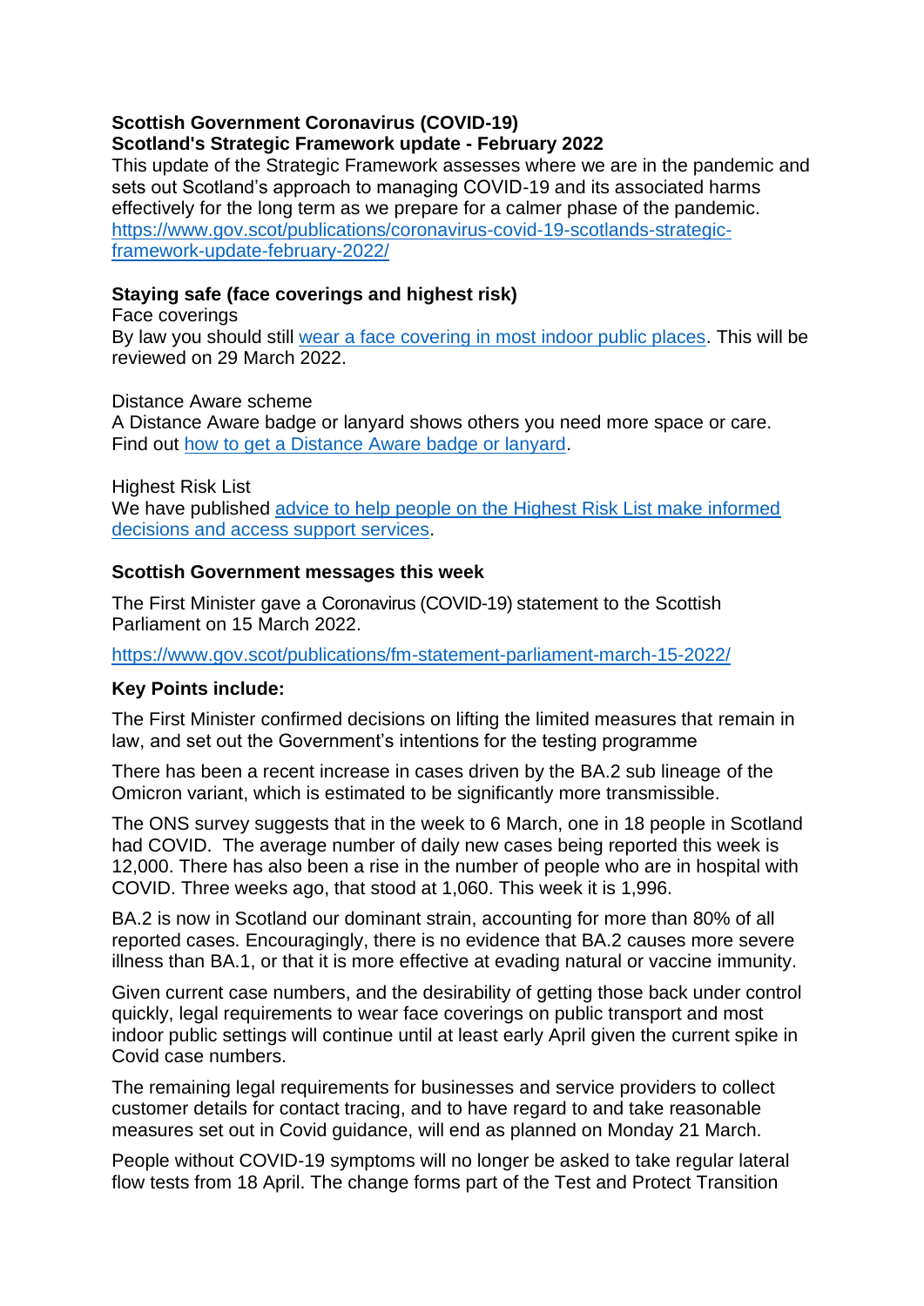## **Scottish Government Coronavirus (COVID-19)**

## **Scotland's Strategic Framework update - February 2022**

This update of the Strategic Framework assesses where we are in the pandemic and sets out Scotland's approach to managing COVID-19 and its associated harms effectively for the long term as we prepare for a calmer phase of the pandemic. [https://www.gov.scot/publications/coronavirus-covid-19-scotlands-strategic](https://www.gov.scot/publications/coronavirus-covid-19-scotlands-strategic-framework-update-february-2022/)[framework-update-february-2022/](https://www.gov.scot/publications/coronavirus-covid-19-scotlands-strategic-framework-update-february-2022/)

### **Staying safe (face coverings and highest risk)**

Face coverings By law you should still wear [a face covering in most indoor public places.](http://www.gov.scot/publications/coronavirus-covid-19-public-use-of-face-coverings/) This will be reviewed on 29 March 2022.

Distance Aware scheme A Distance Aware badge or lanyard shows others you need more space or care. Find out [how to get a Distance Aware badge or lanyard.](https://www.gov.scot/publications/coronavirus-covid-19-distance-aware-scheme/)

Highest Risk List We have published [advice to help people on the Highest Risk List make informed](https://www.gov.scot/publications/covid-highest-risk/)  [decisions and access support services.](https://www.gov.scot/publications/covid-highest-risk/)

### **Scottish Government messages this week**

The First Minister gave a Coronavirus (COVID-19) statement to the Scottish Parliament on 15 March 2022.

<https://www.gov.scot/publications/fm-statement-parliament-march-15-2022/>

## **Key Points include:**

The First Minister confirmed decisions on lifting the limited measures that remain in law, and set out the Government's intentions for the testing programme

There has been a recent increase in cases driven by the BA.2 sub lineage of the Omicron variant, which is estimated to be significantly more transmissible.

The ONS survey suggests that in the week to 6 March, one in 18 people in Scotland had COVID. The average number of daily new cases being reported this week is 12,000. There has also been a rise in the number of people who are in hospital with COVID. Three weeks ago, that stood at 1,060. This week it is 1,996.

BA.2 is now in Scotland our dominant strain, accounting for more than 80% of all reported cases. Encouragingly, there is no evidence that BA.2 causes more severe illness than BA.1, or that it is more effective at evading natural or vaccine immunity.

Given current case numbers, and the desirability of getting those back under control quickly, legal requirements to wear face coverings on public transport and most indoor public settings will continue until at least early April given the current spike in Covid case numbers.

The remaining legal requirements for businesses and service providers to collect customer details for contact tracing, and to have regard to and take reasonable measures set out in Covid guidance, will end as planned on Monday 21 March.

People without COVID-19 symptoms will no longer be asked to take regular lateral flow tests from 18 April. The change forms part of the Test and Protect Transition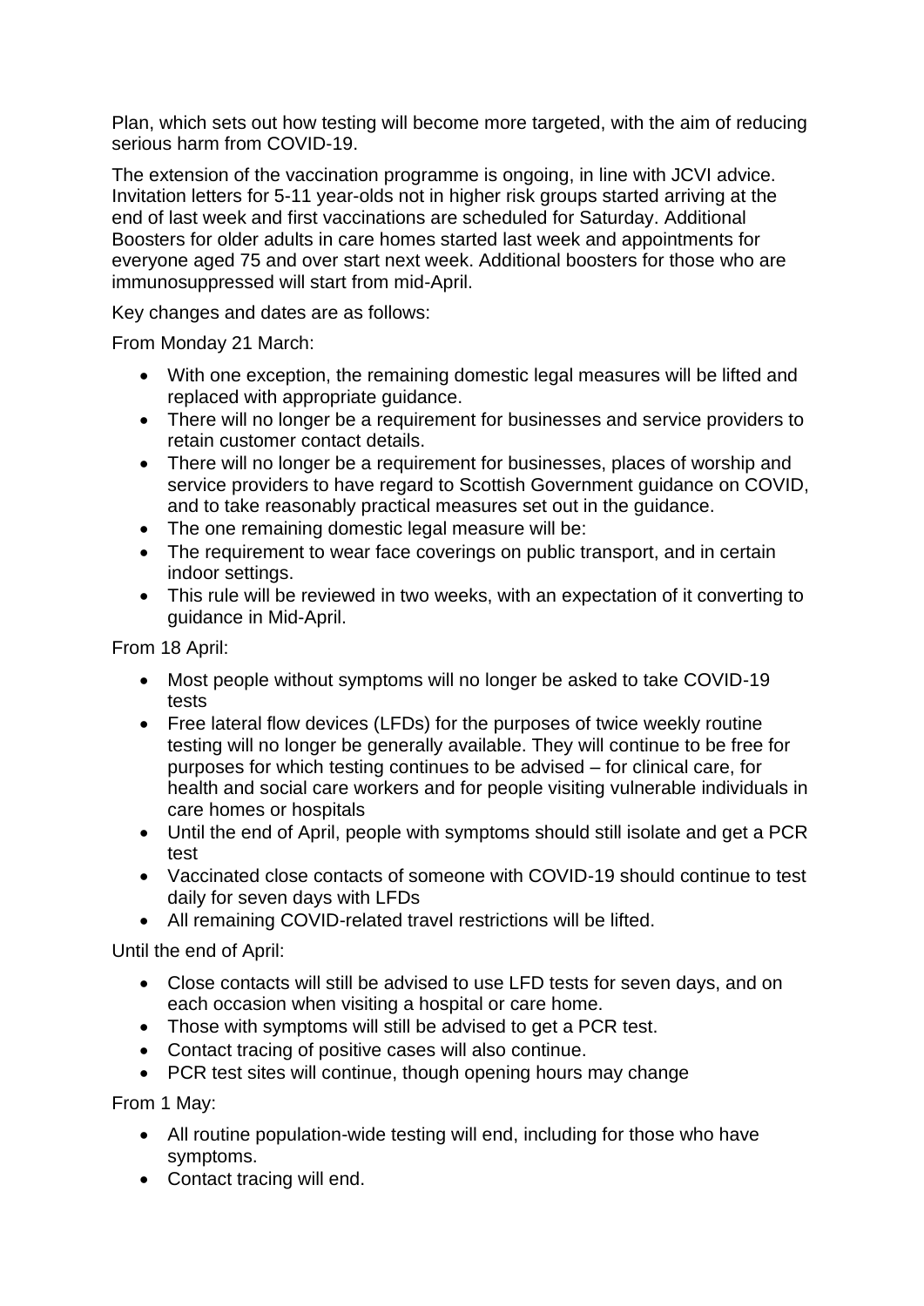Plan, which sets out how testing will become more targeted, with the aim of reducing serious harm from COVID-19.

The extension of the vaccination programme is ongoing, in line with JCVI advice. Invitation letters for 5-11 year-olds not in higher risk groups started arriving at the end of last week and first vaccinations are scheduled for Saturday. Additional Boosters for older adults in care homes started last week and appointments for everyone aged 75 and over start next week. Additional boosters for those who are immunosuppressed will start from mid-April.

Key changes and dates are as follows:

From Monday 21 March:

- With one exception, the remaining domestic legal measures will be lifted and replaced with appropriate guidance.
- There will no longer be a requirement for businesses and service providers to retain customer contact details.
- There will no longer be a requirement for businesses, places of worship and service providers to have regard to Scottish Government guidance on COVID, and to take reasonably practical measures set out in the guidance.
- The one remaining domestic legal measure will be:
- The requirement to wear face coverings on public transport, and in certain indoor settings.
- This rule will be reviewed in two weeks, with an expectation of it converting to guidance in Mid-April.

From 18 April:

- Most people without symptoms will no longer be asked to take COVID-19 tests
- Free lateral flow devices (LFDs) for the purposes of twice weekly routine testing will no longer be generally available. They will continue to be free for purposes for which testing continues to be advised – for clinical care, for health and social care workers and for people visiting vulnerable individuals in care homes or hospitals
- Until the end of April, people with symptoms should still isolate and get a PCR test
- Vaccinated close contacts of someone with COVID-19 should continue to test daily for seven days with LFDs
- All remaining COVID-related travel restrictions will be lifted.

Until the end of April:

- Close contacts will still be advised to use LFD tests for seven days, and on each occasion when visiting a hospital or care home.
- Those with symptoms will still be advised to get a PCR test.
- Contact tracing of positive cases will also continue.
- PCR test sites will continue, though opening hours may change

From 1 May:

- All routine population-wide testing will end, including for those who have symptoms.
- Contact tracing will end.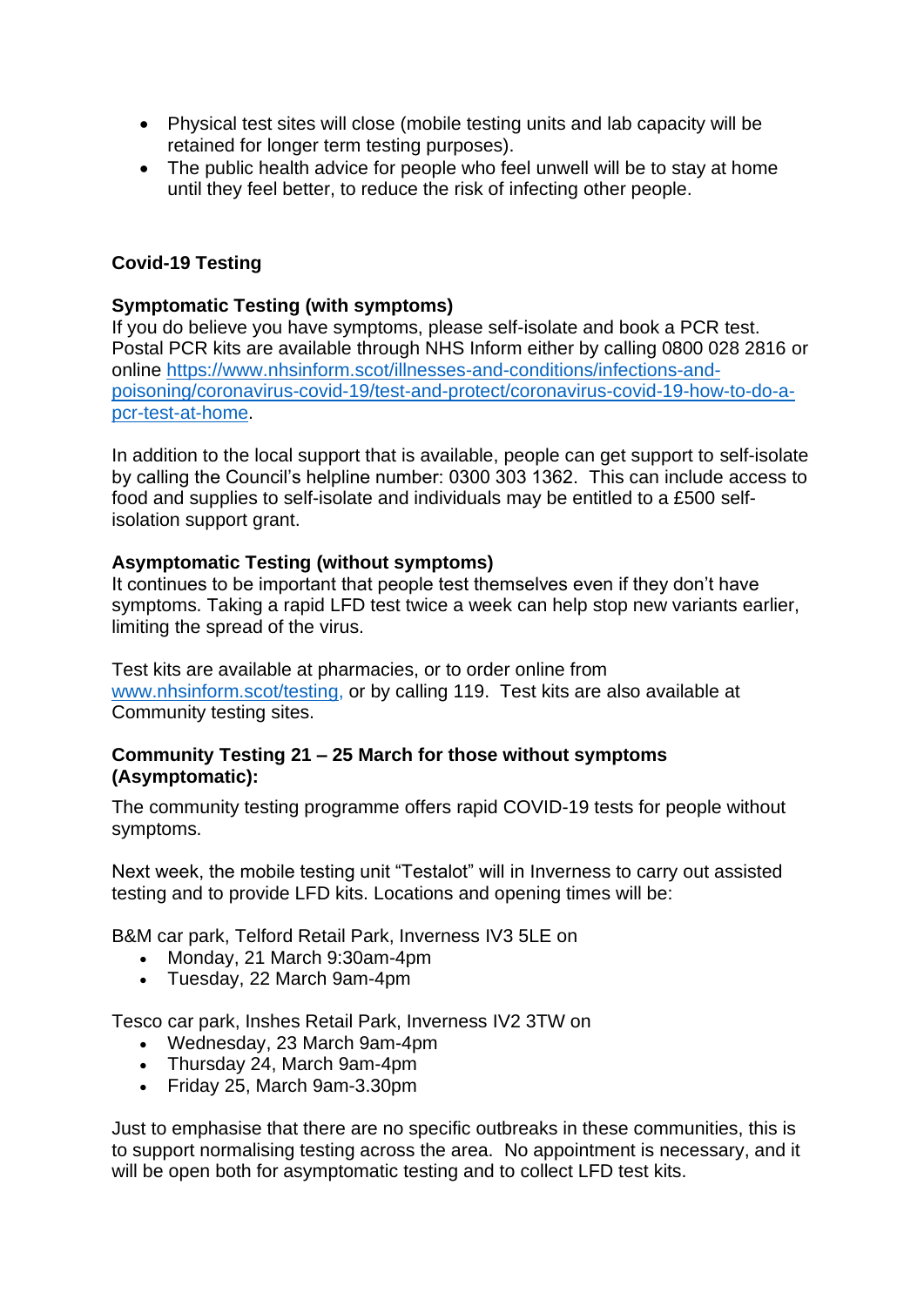- Physical test sites will close (mobile testing units and lab capacity will be retained for longer term testing purposes).
- The public health advice for people who feel unwell will be to stay at home until they feel better, to reduce the risk of infecting other people.

## **Covid-19 Testing**

### **Symptomatic Testing (with symptoms)**

If you do believe you have symptoms, please self-isolate and book a PCR test. Postal PCR kits are available through NHS Inform either by calling 0800 028 2816 or online [https://www.nhsinform.scot/illnesses-and-conditions/infections-and](https://www.nhsinform.scot/illnesses-and-conditions/infections-and-poisoning/coronavirus-covid-19/test-and-protect/coronavirus-covid-19-how-to-do-a-pcr-test-at-home)[poisoning/coronavirus-covid-19/test-and-protect/coronavirus-covid-19-how-to-do-a](https://www.nhsinform.scot/illnesses-and-conditions/infections-and-poisoning/coronavirus-covid-19/test-and-protect/coronavirus-covid-19-how-to-do-a-pcr-test-at-home)[pcr-test-at-home.](https://www.nhsinform.scot/illnesses-and-conditions/infections-and-poisoning/coronavirus-covid-19/test-and-protect/coronavirus-covid-19-how-to-do-a-pcr-test-at-home)

In addition to the local support that is available, people can get support to self-isolate by calling the Council's helpline number: 0300 303 1362. This can include access to food and supplies to self-isolate and individuals may be entitled to a £500 selfisolation support grant.

### **Asymptomatic Testing (without symptoms)**

It continues to be important that people test themselves even if they don't have symptoms. Taking a rapid LFD test twice a week can help stop new variants earlier, limiting the spread of the virus.

Test kits are available at pharmacies, or to order online from [www.nhsinform.scot/testing,](http://www.nhsinform.scot/testing) or by calling 119. Test kits are also available at Community testing sites.

#### **Community Testing 21 – 25 March for those without symptoms (Asymptomatic):**

The community testing programme offers rapid COVID-19 tests for people without symptoms.

Next week, the mobile testing unit "Testalot" will in Inverness to carry out assisted testing and to provide LFD kits. Locations and opening times will be:

B&M car park, Telford Retail Park, Inverness IV3 5LE on

- Monday, 21 March 9:30am-4pm
- Tuesday, 22 March 9am-4pm

Tesco car park, Inshes Retail Park, Inverness IV2 3TW on

- Wednesday, 23 March 9am-4pm
- Thursday 24, March 9am-4pm
- Friday 25, March 9am-3.30pm

Just to emphasise that there are no specific outbreaks in these communities, this is to support normalising testing across the area. No appointment is necessary, and it will be open both for asymptomatic testing and to collect LFD test kits.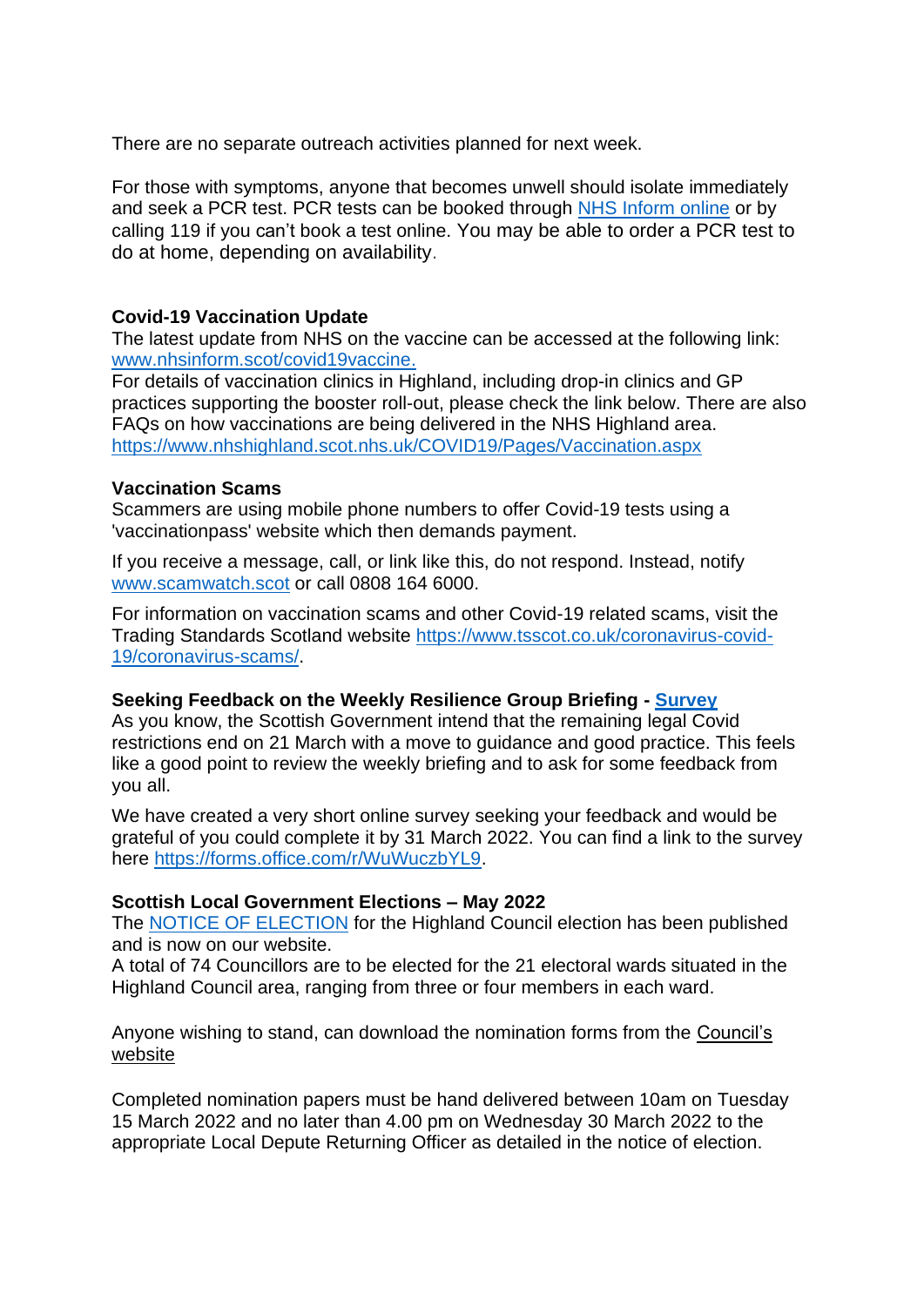There are no separate outreach activities planned for next week.

For those with symptoms, anyone that becomes unwell should isolate immediately and seek a PCR test. PCR tests can be booked through NHS [Inform](https://www.nhsinform.scot/illnesses-and-conditions/infections-and-poisoning/coronavirus-covid-19/test-and-protect/coronavirus-covid-19-get-a-test-if-you-have-symptoms) online or by calling 119 if you can't book a test online. You may be able to order a PCR test to do at home, depending on availability.

## **Covid-19 Vaccination Update**

The latest update from NHS on the vaccine can be accessed at the following link: [www.nhsinform.scot/covid19vaccine.](http://www.nhsinform.scot/covid19vaccine)

For details of vaccination clinics in Highland, including drop-in clinics and GP practices supporting the booster roll-out, please check the link below. There are also FAQs on how vaccinations are being delivered in the NHS Highland area. <https://www.nhshighland.scot.nhs.uk/COVID19/Pages/Vaccination.aspx>

#### **Vaccination Scams**

Scammers are using mobile phone numbers to offer Covid-19 tests using a 'vaccinationpass' website which then demands payment.

If you receive a message, call, or link like this, do not respond. Instead, notify [www.scamwatch.scot](https://l.facebook.com/l.php?u=http%3A%2F%2Fwww.scamwatch.scot%2F%3Ffbclid%3DIwAR1CaklQ6iwavFGlp5wGDowoOIQAIkVsr2aHwiu7cGzNoEY_ESeOOyTPex4&h=AT2cl3YgxOodbMWJBxy2LnYguaMttXmC99x_F1OYDn-BVq2Z_ko9mv0LaXAzaBAxVlnp-JCla3gPx5JSO_61K3DsLAcsx0a_eClEc-8WUpVcclYRGyB__0Pf1pe_1jGtPQ&__tn__=-UK-R&c%5b0%5d=AT3JSNQACBoUlAeDvOyI1FQ5CjRUKSKlbEgSC4-XFWORzzDjL7GKJqHUQkylGZ2kgiZGypec69ZGfxWQF2ywRbyopg37e9YxDn0jLUrTVKkMoLj9b_3Uyostyye8do4cQGl_OAqpIXv_FMedmyV2mbbyxHfWSu0IBLzYH6xQ5PTl0-WpCtCw) or call 0808 164 6000.

For information on vaccination scams and other Covid-19 related scams, visit the Trading Standards Scotland website [https://www.tsscot.co.uk/coronavirus-covid-](https://www.tsscot.co.uk/coronavirus-covid-19/coronavirus-scams/)[19/coronavirus-scams/.](https://www.tsscot.co.uk/coronavirus-covid-19/coronavirus-scams/)

#### **Seeking Feedback on the Weekly Resilience Group Briefing - [Survey](https://forms.office.com/r/WuWuczbYL9)**

As you know, the Scottish Government intend that the remaining legal Covid restrictions end on 21 March with a move to guidance and good practice. This feels like a good point to review the weekly briefing and to ask for some feedback from you all.

We have created a very short online survey seeking your feedback and would be grateful of you could complete it by 31 March 2022. You can find a link to the survey here [https://forms.office.com/r/WuWuczbYL9.](https://eur02.safelinks.protection.outlook.com/?url=https%3A%2F%2Fforms.office.com%2Fr%2FWuWuczbYL9&data=04%7C01%7CRosemary.MacKinnon%40highland.gov.uk%7Cef4c22da8b904be3309f08da03560543%7C89f0b56e6d164fe89dba176fa940f7c9%7C0%7C0%7C637825965222028630%7CUnknown%7CTWFpbGZsb3d8eyJWIjoiMC4wLjAwMDAiLCJQIjoiV2luMzIiLCJBTiI6Ik1haWwiLCJXVCI6Mn0%3D%7C3000&sdata=hKYMxGjbHTQve36ZpbwVbCJxMOO3Vw4N1FYlyb%2BS41o%3D&reserved=0)

#### **Scottish Local Government Elections – May 2022**

The [NOTICE OF ELECTION](https://eur02.safelinks.protection.outlook.com/?url=https%3A%2F%2Fwww.highland.gov.uk%2Fslg22notice&data=04%7C01%7CRosemary.MacKinnon%40highland.gov.uk%7Cf2444ddb86e946a8e6d808da073d1795%7C89f0b56e6d164fe89dba176fa940f7c9%7C0%7C0%7C637830256203480207%7CUnknown%7CTWFpbGZsb3d8eyJWIjoiMC4wLjAwMDAiLCJQIjoiV2luMzIiLCJBTiI6Ik1haWwiLCJXVCI6Mn0%3D%7C3000&sdata=3mFm3L8Ut7yxvbPskUufBMpDHX%2BMRSmhrzRA8doekak%3D&reserved=0) for the Highland Council election has been published and is now on our website.

A total of 74 Councillors are to be elected for the 21 electoral wards situated in the Highland Council area, ranging from three or four members in each ward.

Anyone wishing to stand, can download the nomination forms from the [Council's](https://eur02.safelinks.protection.outlook.com/?url=http%3A%2F%2Fwww.highland.gov.uk%2Fslg22election&data=04%7C01%7CRosemary.MacKinnon%40highland.gov.uk%7Cf2444ddb86e946a8e6d808da073d1795%7C89f0b56e6d164fe89dba176fa940f7c9%7C0%7C0%7C637830256203480207%7CUnknown%7CTWFpbGZsb3d8eyJWIjoiMC4wLjAwMDAiLCJQIjoiV2luMzIiLCJBTiI6Ik1haWwiLCJXVCI6Mn0%3D%7C3000&sdata=GAGcv8qHpD1saXXhw6i5tgzSXYovumIsGf3G%2FLSyd64%3D&reserved=0)  [website](https://eur02.safelinks.protection.outlook.com/?url=http%3A%2F%2Fwww.highland.gov.uk%2Fslg22election&data=04%7C01%7CRosemary.MacKinnon%40highland.gov.uk%7Cf2444ddb86e946a8e6d808da073d1795%7C89f0b56e6d164fe89dba176fa940f7c9%7C0%7C0%7C637830256203480207%7CUnknown%7CTWFpbGZsb3d8eyJWIjoiMC4wLjAwMDAiLCJQIjoiV2luMzIiLCJBTiI6Ik1haWwiLCJXVCI6Mn0%3D%7C3000&sdata=GAGcv8qHpD1saXXhw6i5tgzSXYovumIsGf3G%2FLSyd64%3D&reserved=0)

Completed nomination papers must be hand delivered between 10am on Tuesday 15 March 2022 and no later than 4.00 pm on Wednesday 30 March 2022 to the appropriate Local Depute Returning Officer as detailed in the notice of election.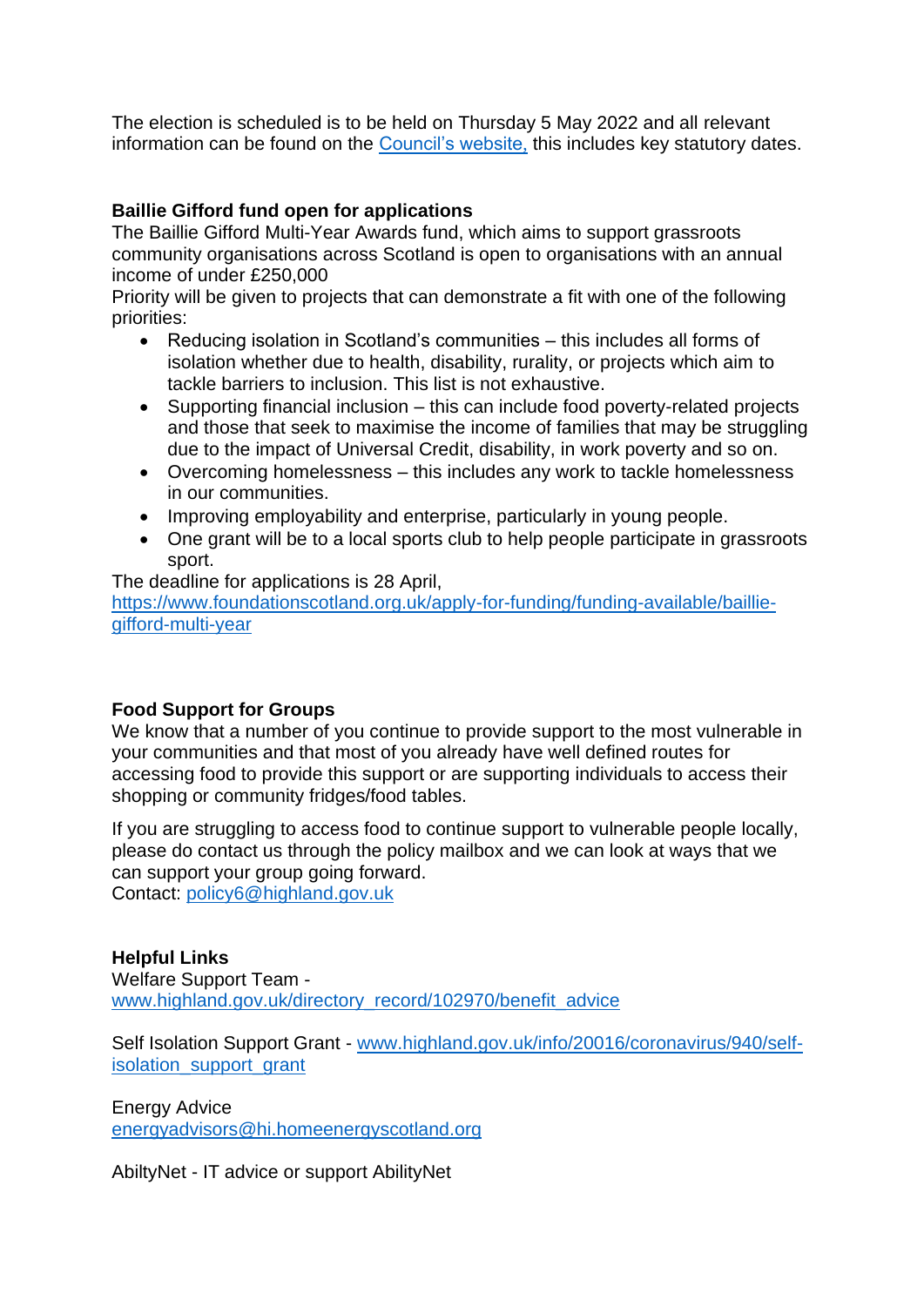The election is scheduled is to be held on Thursday 5 May 2022 and all relevant information can be found on the [Council's website](https://eur02.safelinks.protection.outlook.com/?url=http%3A%2F%2Fwww.highland.gov.uk%2FSLG22Election&data=04%7C01%7CRosemary.MacKinnon%40highland.gov.uk%7Cf2444ddb86e946a8e6d808da073d1795%7C89f0b56e6d164fe89dba176fa940f7c9%7C0%7C0%7C637830256203480207%7CUnknown%7CTWFpbGZsb3d8eyJWIjoiMC4wLjAwMDAiLCJQIjoiV2luMzIiLCJBTiI6Ik1haWwiLCJXVCI6Mn0%3D%7C3000&sdata=a%2Fl%2BEEUQK4aCE4uRo9nUo3KRaeIgUhJI2Nj4bt%2BN0Aw%3D&reserved=0), this includes key statutory dates.

## **Baillie Gifford fund open for applications**

The Baillie Gifford Multi-Year Awards fund, which aims to support grassroots community organisations across Scotland is open to organisations with an annual income of under £250,000

Priority will be given to projects that can demonstrate a fit with one of the following priorities:

- Reducing isolation in Scotland's communities this includes all forms of isolation whether due to health, disability, rurality, or projects which aim to tackle barriers to inclusion. This list is not exhaustive.
- Supporting financial inclusion this can include food poverty-related projects and those that seek to maximise the income of families that may be struggling due to the impact of Universal Credit, disability, in work poverty and so on.
- Overcoming homelessness this includes any work to tackle homelessness in our communities.
- Improving employability and enterprise, particularly in young people.
- One grant will be to a local sports club to help people participate in grassroots sport.

The deadline for applications is 28 April,

[https://www.foundationscotland.org.uk/apply-for-funding/funding-available/baillie](https://www.foundationscotland.org.uk/apply-for-funding/funding-available/baillie-gifford-multi-year)[gifford-multi-year](https://www.foundationscotland.org.uk/apply-for-funding/funding-available/baillie-gifford-multi-year)

## **Food Support for Groups**

We know that a number of you continue to provide support to the most vulnerable in your communities and that most of you already have well defined routes for accessing food to provide this support or are supporting individuals to access their shopping or community fridges/food tables.

If you are struggling to access food to continue support to vulnerable people locally, please do contact us through the policy mailbox and we can look at ways that we can support your group going forward.

Contact: [policy6@highland.gov.uk](mailto:policy6@highland.gov.uk)

#### **Helpful Links** Welfare Support Team [www.highland.gov.uk/directory\\_record/102970/benefit\\_advice](http://www.highland.gov.uk/directory_record/102970/benefit_advice)

Self Isolation Support Grant - [www.highland.gov.uk/info/20016/coronavirus/940/self](http://www.highland.gov.uk/info/20016/coronavirus/940/self-isolation_support_grant)[isolation\\_support\\_grant](http://www.highland.gov.uk/info/20016/coronavirus/940/self-isolation_support_grant)

Energy Advice [energyadvisors@hi.homeenergyscotland.org](mailto:energyadvisors@hi.homeenergyscotland.org)

AbiltyNet - IT advice or support AbilityNet